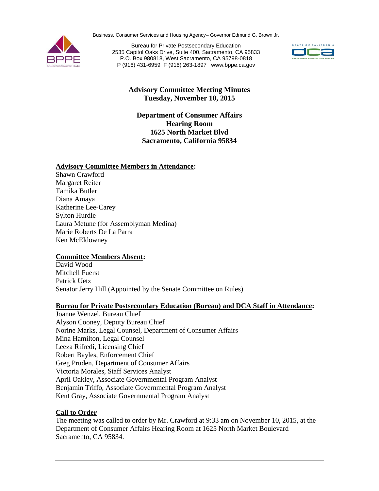Business, Consumer Services and Housing Agency– Governor Edmund G. Brown Jr.



Bureau for Private Postsecondary Education 2535 Capitol Oaks Drive, Suite 400, Sacramento, CA 95833 P.O. Box 980818, West Sacramento, CA 95798-0818 P (916) 431-6959 F (916) 263-1897 [www.bppe.ca.gov](http://www.bppe.ca.gov/)



# **Advisory Committee Meeting Minutes Tuesday, November 10, 2015**

**Department of Consumer Affairs Hearing Room 1625 North Market Blvd Sacramento, California 95834**

## **Advisory Committee Members in Attendance:**

Shawn Crawford Margaret Reiter Tamika Butler Diana Amaya Katherine Lee-Carey Sylton Hurdle Laura Metune (for Assemblyman Medina) Marie Roberts De La Parra Ken McEldowney

## **Committee Members Absent:**

David Wood Mitchell Fuerst Patrick Uetz Senator Jerry Hill (Appointed by the Senate Committee on Rules)

### **Bureau for Private Postsecondary Education (Bureau) and DCA Staff in Attendance:**

Joanne Wenzel, Bureau Chief Alyson Cooney, Deputy Bureau Chief Norine Marks, Legal Counsel, Department of Consumer Affairs Mina Hamilton, Legal Counsel Leeza Rifredi, Licensing Chief Robert Bayles, Enforcement Chief Greg Pruden, Department of Consumer Affairs Victoria Morales, Staff Services Analyst April Oakley, Associate Governmental Program Analyst Benjamin Triffo, Associate Governmental Program Analyst Kent Gray, Associate Governmental Program Analyst

## **Call to Order**

The meeting was called to order by Mr. Crawford at 9:33 am on November 10, 2015, at the Department of Consumer Affairs Hearing Room at 1625 North Market Boulevard Sacramento, CA 95834.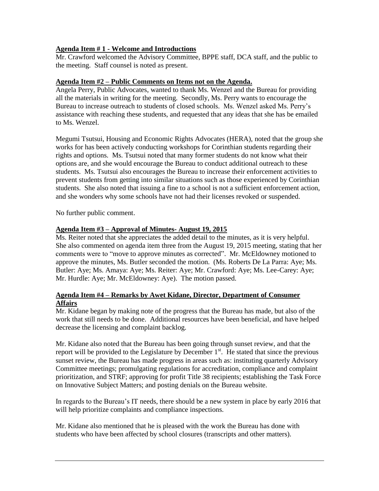## **Agenda Item # 1 - Welcome and Introductions**

Mr. Crawford welcomed the Advisory Committee, BPPE staff, DCA staff, and the public to the meeting. Staff counsel is noted as present.

## **Agenda Item #2 – Public Comments on Items not on the Agenda.**

Angela Perry, Public Advocates, wanted to thank Ms. Wenzel and the Bureau for providing all the materials in writing for the meeting. Secondly, Ms. Perry wants to encourage the Bureau to increase outreach to students of closed schools. Ms. Wenzel asked Ms. Perry's assistance with reaching these students, and requested that any ideas that she has be emailed to Ms. Wenzel.

Megumi Tsutsui, Housing and Economic Rights Advocates (HERA), noted that the group she works for has been actively conducting workshops for Corinthian students regarding their rights and options. Ms. Tsutsui noted that many former students do not know what their options are, and she would encourage the Bureau to conduct additional outreach to these students. Ms. Tsutsui also encourages the Bureau to increase their enforcement activities to prevent students from getting into similar situations such as those experienced by Corinthian students. She also noted that issuing a fine to a school is not a sufficient enforcement action, and she wonders why some schools have not had their licenses revoked or suspended.

No further public comment.

### **Agenda Item #3 – Approval of Minutes- August 19, 2015**

Ms. Reiter noted that she appreciates the added detail to the minutes, as it is very helpful. She also commented on agenda item three from the August 19, 2015 meeting, stating that her comments were to "move to approve minutes as corrected". Mr. McEldowney motioned to approve the minutes, Ms. Butler seconded the motion. (Ms. Roberts De La Parra: Aye; Ms. Butler: Aye; Ms. Amaya: Aye; Ms. Reiter: Aye; Mr. Crawford: Aye; Ms. Lee-Carey: Aye; Mr. Hurdle: Aye; Mr. McEldowney: Aye). The motion passed.

## **Agenda Item #4 – Remarks by Awet Kidane, Director, Department of Consumer Affairs**

Mr. Kidane began by making note of the progress that the Bureau has made, but also of the work that still needs to be done. Additional resources have been beneficial, and have helped decrease the licensing and complaint backlog.

Mr. Kidane also noted that the Bureau has been going through sunset review, and that the report will be provided to the Legislature by December  $1<sup>st</sup>$ . He stated that since the previous sunset review, the Bureau has made progress in areas such as: instituting quarterly Advisory Committee meetings; promulgating regulations for accreditation, compliance and complaint prioritization, and STRF; approving for profit Title 38 recipients; establishing the Task Force on Innovative Subject Matters; and posting denials on the Bureau website.

In regards to the Bureau's IT needs, there should be a new system in place by early 2016 that will help prioritize complaints and compliance inspections.

Mr. Kidane also mentioned that he is pleased with the work the Bureau has done with students who have been affected by school closures (transcripts and other matters).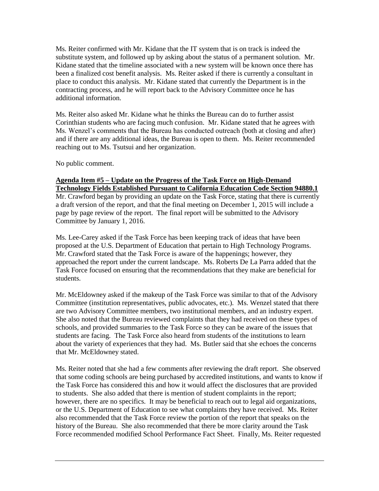Ms. Reiter confirmed with Mr. Kidane that the IT system that is on track is indeed the substitute system, and followed up by asking about the status of a permanent solution. Mr. Kidane stated that the timeline associated with a new system will be known once there has been a finalized cost benefit analysis. Ms. Reiter asked if there is currently a consultant in place to conduct this analysis. Mr. Kidane stated that currently the Department is in the contracting process, and he will report back to the Advisory Committee once he has additional information.

Ms. Reiter also asked Mr. Kidane what he thinks the Bureau can do to further assist Corinthian students who are facing much confusion. Mr. Kidane stated that he agrees with Ms. Wenzel's comments that the Bureau has conducted outreach (both at closing and after) and if there are any additional ideas, the Bureau is open to them. Ms. Reiter recommended reaching out to Ms. Tsutsui and her organization.

No public comment.

#### **Agenda Item #5 – Update on the Progress of the Task Force on High-Demand Technology Fields Established Pursuant to California Education Code Section 94880.1**

Mr. Crawford began by providing an update on the Task Force, stating that there is currently a draft version of the report, and that the final meeting on December 1, 2015 will include a page by page review of the report. The final report will be submitted to the Advisory Committee by January 1, 2016.

Ms. Lee-Carey asked if the Task Force has been keeping track of ideas that have been proposed at the U.S. Department of Education that pertain to High Technology Programs. Mr. Crawford stated that the Task Force is aware of the happenings; however, they approached the report under the current landscape. Ms. Roberts De La Parra added that the Task Force focused on ensuring that the recommendations that they make are beneficial for students.

Mr. McEldowney asked if the makeup of the Task Force was similar to that of the Advisory Committee (institution representatives, public advocates, etc.). Ms. Wenzel stated that there are two Advisory Committee members, two institutional members, and an industry expert. She also noted that the Bureau reviewed complaints that they had received on these types of schools, and provided summaries to the Task Force so they can be aware of the issues that students are facing. The Task Force also heard from students of the institutions to learn about the variety of experiences that they had. Ms. Butler said that she echoes the concerns that Mr. McEldowney stated.

Ms. Reiter noted that she had a few comments after reviewing the draft report. She observed that some coding schools are being purchased by accredited institutions, and wants to know if the Task Force has considered this and how it would affect the disclosures that are provided to students. She also added that there is mention of student complaints in the report; however, there are no specifics. It may be beneficial to reach out to legal aid organizations, or the U.S. Department of Education to see what complaints they have received. Ms. Reiter also recommended that the Task Force review the portion of the report that speaks on the history of the Bureau. She also recommended that there be more clarity around the Task Force recommended modified School Performance Fact Sheet. Finally, Ms. Reiter requested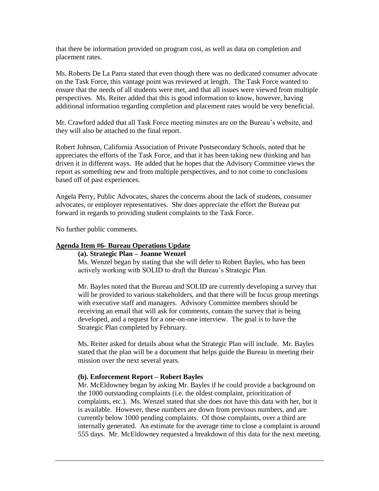that there be information provided on program cost, as well as data on completion and placement rates.

Ms. Roberts De La Parra stated that even though there was no dedicated consumer advocate on the Task Force, this vantage point was reviewed at length. The Task Force wanted to ensure that the needs of all students were met, and that all issues were viewed from multiple perspectives. Ms. Reiter added that this is good information to know, however, having additional information regarding completion and placement rates would be very beneficial.

Mr. Crawford added that all Task Force meeting minutes are on the Bureau's website, and they will also be attached to the final report.

Robert Johnson, California Association of Private Postsecondary Schools, noted that he appreciates the efforts of the Task Force, and that it has been taking new thinking and has driven it in different ways. He added that he hopes that the Advisory Committee views the report as something new and from multiple perspectives, and to not come to conclusions based off of past experiences.

Angela Perry, Public Advocates, shares the concerns about the lack of students, consumer advocates, or employer representatives. She does appreciate the effort the Bureau put forward in regards to providing student complaints to the Task Force.

No further public comments.

### **Agenda Item #6- Bureau Operations Update**

#### **(a). Strategic Plan – Joanne Wenzel**

Ms. Wenzel began by stating that she will defer to Robert Bayles, who has been actively working with SOLID to draft the Bureau's Strategic Plan.

Mr. Bayles noted that the Bureau and SOLID are currently developing a survey that will be provided to various stakeholders, and that there will be focus group meetings with executive staff and managers. Advisory Committee members should be receiving an email that will ask for comments, contain the survey that is being developed, and a request for a one-on-one interview. The goal is to have the Strategic Plan completed by February.

Ms. Reiter asked for details about what the Strategic Plan will include. Mr. Bayles stated that the plan will be a document that helps guide the Bureau in meeting their mission over the next several years.

### **(b). Enforcement Report – Robert Bayles**

Mr. McEldowney began by asking Mr. Bayles if he could provide a background on the 1000 outstanding complaints (i.e. the oldest complaint, prioritization of complaints, etc.). Ms. Wenzel stated that she does not have this data with her, but it is available. However, these numbers are down from previous numbers, and are currently below 1000 pending complaints. Of those complaints, over a third are internally generated. An estimate for the average time to close a complaint is around 555 days. Mr. McEldowney requested a breakdown of this data for the next meeting.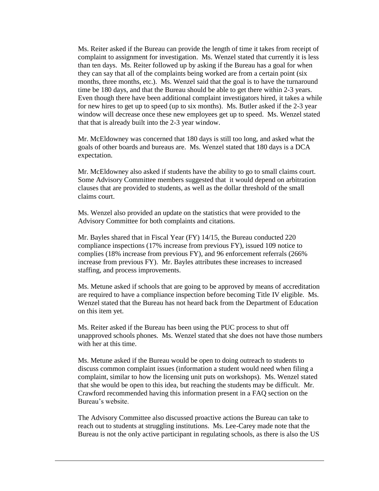Ms. Reiter asked if the Bureau can provide the length of time it takes from receipt of complaint to assignment for investigation. Ms. Wenzel stated that currently it is less than ten days. Ms. Reiter followed up by asking if the Bureau has a goal for when they can say that all of the complaints being worked are from a certain point (six months, three months, etc.). Ms. Wenzel said that the goal is to have the turnaround time be 180 days, and that the Bureau should be able to get there within 2-3 years. Even though there have been additional complaint investigators hired, it takes a while for new hires to get up to speed (up to six months). Ms. Butler asked if the 2-3 year window will decrease once these new employees get up to speed. Ms. Wenzel stated that that is already built into the 2-3 year window.

Mr. McEldowney was concerned that 180 days is still too long, and asked what the goals of other boards and bureaus are. Ms. Wenzel stated that 180 days is a DCA expectation.

Mr. McEldowney also asked if students have the ability to go to small claims court. Some Advisory Committee members suggested that it would depend on arbitration clauses that are provided to students, as well as the dollar threshold of the small claims court.

Ms. Wenzel also provided an update on the statistics that were provided to the Advisory Committee for both complaints and citations.

Mr. Bayles shared that in Fiscal Year (FY) 14/15, the Bureau conducted 220 compliance inspections (17% increase from previous FY), issued 109 notice to complies (18% increase from previous FY), and 96 enforcement referrals (266% increase from previous FY). Mr. Bayles attributes these increases to increased staffing, and process improvements.

Ms. Metune asked if schools that are going to be approved by means of accreditation are required to have a compliance inspection before becoming Title IV eligible. Ms. Wenzel stated that the Bureau has not heard back from the Department of Education on this item yet.

Ms. Reiter asked if the Bureau has been using the PUC process to shut off unapproved schools phones. Ms. Wenzel stated that she does not have those numbers with her at this time.

Ms. Metune asked if the Bureau would be open to doing outreach to students to discuss common complaint issues (information a student would need when filing a complaint, similar to how the licensing unit puts on workshops). Ms. Wenzel stated that she would be open to this idea, but reaching the students may be difficult. Mr. Crawford recommended having this information present in a FAQ section on the Bureau's website.

The Advisory Committee also discussed proactive actions the Bureau can take to reach out to students at struggling institutions. Ms. Lee-Carey made note that the Bureau is not the only active participant in regulating schools, as there is also the US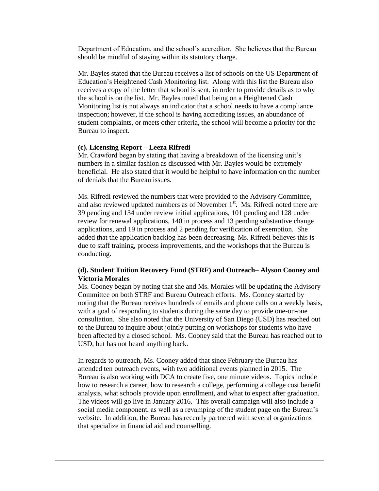Department of Education, and the school's accreditor. She believes that the Bureau should be mindful of staying within its statutory charge.

Mr. Bayles stated that the Bureau receives a list of schools on the US Department of Education's Heightened Cash Monitoring list. Along with this list the Bureau also receives a copy of the letter that school is sent, in order to provide details as to why the school is on the list. Mr. Bayles noted that being on a Heightened Cash Monitoring list is not always an indicator that a school needs to have a compliance inspection; however, if the school is having accrediting issues, an abundance of student complaints, or meets other criteria, the school will become a priority for the Bureau to inspect.

#### **(c). Licensing Report – Leeza Rifredi**

Mr. Crawford began by stating that having a breakdown of the licensing unit's numbers in a similar fashion as discussed with Mr. Bayles would be extremely beneficial. He also stated that it would be helpful to have information on the number of denials that the Bureau issues.

Ms. Rifredi reviewed the numbers that were provided to the Advisory Committee, and also reviewed updated numbers as of November  $1<sup>st</sup>$ . Ms. Rifredi noted there are 39 pending and 134 under review initial applications, 101 pending and 128 under review for renewal applications, 140 in process and 13 pending substantive change applications, and 19 in process and 2 pending for verification of exemption. She added that the application backlog has been decreasing. Ms. Rifredi believes this is due to staff training, process improvements, and the workshops that the Bureau is conducting.

### **(d). Student Tuition Recovery Fund (STRF) and Outreach– Alyson Cooney and Victoria Morales**

Ms. Cooney began by noting that she and Ms. Morales will be updating the Advisory Committee on both STRF and Bureau Outreach efforts. Ms. Cooney started by noting that the Bureau receives hundreds of emails and phone calls on a weekly basis, with a goal of responding to students during the same day to provide one-on-one consultation. She also noted that the University of San Diego (USD) has reached out to the Bureau to inquire about jointly putting on workshops for students who have been affected by a closed school. Ms. Cooney said that the Bureau has reached out to USD, but has not heard anything back.

In regards to outreach, Ms. Cooney added that since February the Bureau has attended ten outreach events, with two additional events planned in 2015. The Bureau is also working with DCA to create five, one minute videos. Topics include how to research a career, how to research a college, performing a college cost benefit analysis, what schools provide upon enrollment, and what to expect after graduation. The videos will go live in January 2016. This overall campaign will also include a social media component, as well as a revamping of the student page on the Bureau's website. In addition, the Bureau has recently partnered with several organizations that specialize in financial aid and counselling.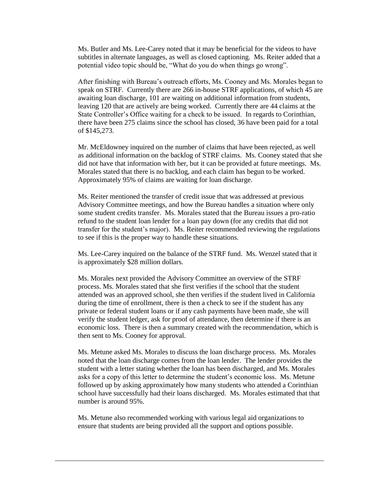Ms. Butler and Ms. Lee-Carey noted that it may be beneficial for the videos to have subtitles in alternate languages, as well as closed captioning. Ms. Reiter added that a potential video topic should be, "What do you do when things go wrong".

After finishing with Bureau's outreach efforts, Ms. Cooney and Ms. Morales began to speak on STRF. Currently there are 266 in-house STRF applications, of which 45 are awaiting loan discharge, 101 are waiting on additional information from students, leaving 120 that are actively are being worked. Currently there are 44 claims at the State Controller's Office waiting for a check to be issued. In regards to Corinthian, there have been 275 claims since the school has closed, 36 have been paid for a total of \$145,273.

Mr. McEldowney inquired on the number of claims that have been rejected, as well as additional information on the backlog of STRF claims. Ms. Cooney stated that she did not have that information with her, but it can be provided at future meetings. Ms. Morales stated that there is no backlog, and each claim has begun to be worked. Approximately 95% of claims are waiting for loan discharge.

Ms. Reiter mentioned the transfer of credit issue that was addressed at previous Advisory Committee meetings, and how the Bureau handles a situation where only some student credits transfer. Ms. Morales stated that the Bureau issues a pro-ratio refund to the student loan lender for a loan pay down (for any credits that did not transfer for the student's major). Ms. Reiter recommended reviewing the regulations to see if this is the proper way to handle these situations.

Ms. Lee-Carey inquired on the balance of the STRF fund. Ms. Wenzel stated that it is approximately \$28 million dollars.

Ms. Morales next provided the Advisory Committee an overview of the STRF process. Ms. Morales stated that she first verifies if the school that the student attended was an approved school, she then verifies if the student lived in California during the time of enrollment, there is then a check to see if the student has any private or federal student loans or if any cash payments have been made, she will verify the student ledger, ask for proof of attendance, then determine if there is an economic loss. There is then a summary created with the recommendation, which is then sent to Ms. Cooney for approval.

Ms. Metune asked Ms. Morales to discuss the loan discharge process. Ms. Morales noted that the loan discharge comes from the loan lender. The lender provides the student with a letter stating whether the loan has been discharged, and Ms. Morales asks for a copy of this letter to determine the student's economic loss. Ms. Metune followed up by asking approximately how many students who attended a Corinthian school have successfully had their loans discharged. Ms. Morales estimated that that number is around 95%.

Ms. Metune also recommended working with various legal aid organizations to ensure that students are being provided all the support and options possible.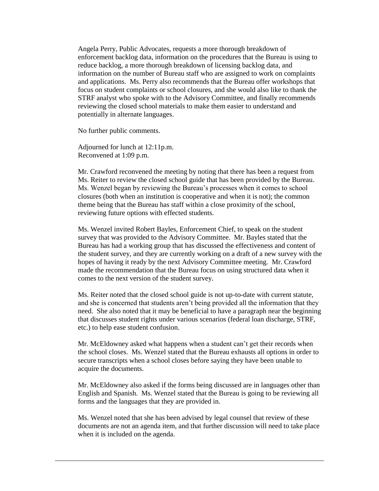Angela Perry, Public Advocates, requests a more thorough breakdown of enforcement backlog data, information on the procedures that the Bureau is using to reduce backlog, a more thorough breakdown of licensing backlog data, and information on the number of Bureau staff who are assigned to work on complaints and applications. Ms. Perry also recommends that the Bureau offer workshops that focus on student complaints or school closures, and she would also like to thank the STRF analyst who spoke with to the Advisory Committee, and finally recommends reviewing the closed school materials to make them easier to understand and potentially in alternate languages.

No further public comments.

Adjourned for lunch at 12:11p.m. Reconvened at 1:09 p.m.

Mr. Crawford reconvened the meeting by noting that there has been a request from Ms. Reiter to review the closed school guide that has been provided by the Bureau. Ms. Wenzel began by reviewing the Bureau's processes when it comes to school closures (both when an institution is cooperative and when it is not); the common theme being that the Bureau has staff within a close proximity of the school, reviewing future options with effected students.

Ms. Wenzel invited Robert Bayles, Enforcement Chief, to speak on the student survey that was provided to the Advisory Committee. Mr. Bayles stated that the Bureau has had a working group that has discussed the effectiveness and content of the student survey, and they are currently working on a draft of a new survey with the hopes of having it ready by the next Advisory Committee meeting. Mr. Crawford made the recommendation that the Bureau focus on using structured data when it comes to the next version of the student survey.

Ms. Reiter noted that the closed school guide is not up-to-date with current statute, and she is concerned that students aren't being provided all the information that they need. She also noted that it may be beneficial to have a paragraph near the beginning that discusses student rights under various scenarios (federal loan discharge, STRF, etc.) to help ease student confusion.

Mr. McEldowney asked what happens when a student can't get their records when the school closes. Ms. Wenzel stated that the Bureau exhausts all options in order to secure transcripts when a school closes before saying they have been unable to acquire the documents.

Mr. McEldowney also asked if the forms being discussed are in languages other than English and Spanish. Ms. Wenzel stated that the Bureau is going to be reviewing all forms and the languages that they are provided in.

Ms. Wenzel noted that she has been advised by legal counsel that review of these documents are not an agenda item, and that further discussion will need to take place when it is included on the agenda.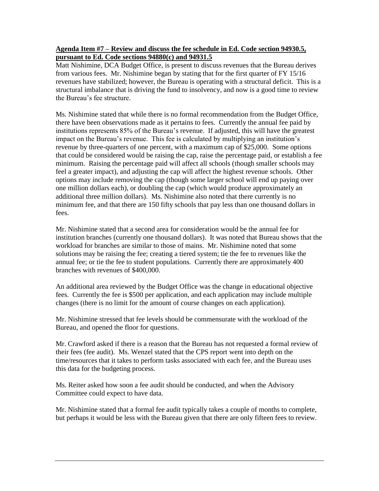## **Agenda Item #7 – Review and discuss the fee schedule in Ed. Code section 94930.5, pursuant to Ed. Code sections 94880(c) and 94931.5**

Matt Nishimine, DCA Budget Office, is present to discuss revenues that the Bureau derives from various fees. Mr. Nishimine began by stating that for the first quarter of FY 15/16 revenues have stabilized; however, the Bureau is operating with a structural deficit. This is a structural imbalance that is driving the fund to insolvency, and now is a good time to review the Bureau's fee structure.

Ms. Nishimine stated that while there is no formal recommendation from the Budget Office, there have been observations made as it pertains to fees. Currently the annual fee paid by institutions represents 85% of the Bureau's revenue. If adjusted, this will have the greatest impact on the Bureau's revenue. This fee is calculated by multiplying an institution's revenue by three-quarters of one percent, with a maximum cap of \$25,000. Some options that could be considered would be raising the cap, raise the percentage paid, or establish a fee minimum. Raising the percentage paid will affect all schools (though smaller schools may feel a greater impact), and adjusting the cap will affect the highest revenue schools. Other options may include removing the cap (though some larger school will end up paying over one million dollars each), or doubling the cap (which would produce approximately an additional three million dollars). Ms. Nishimine also noted that there currently is no minimum fee, and that there are 150 fifty schools that pay less than one thousand dollars in fees.

Mr. Nishimine stated that a second area for consideration would be the annual fee for institution branches (currently one thousand dollars). It was noted that Bureau shows that the workload for branches are similar to those of mains. Mr. Nishimine noted that some solutions may be raising the fee; creating a tiered system; tie the fee to revenues like the annual fee; or tie the fee to student populations. Currently there are approximately 400 branches with revenues of \$400,000.

An additional area reviewed by the Budget Office was the change in educational objective fees. Currently the fee is \$500 per application, and each application may include multiple changes (there is no limit for the amount of course changes on each application).

Mr. Nishimine stressed that fee levels should be commensurate with the workload of the Bureau, and opened the floor for questions.

Mr. Crawford asked if there is a reason that the Bureau has not requested a formal review of their fees (fee audit). Ms. Wenzel stated that the CPS report went into depth on the time/resources that it takes to perform tasks associated with each fee, and the Bureau uses this data for the budgeting process.

Ms. Reiter asked how soon a fee audit should be conducted, and when the Advisory Committee could expect to have data.

Mr. Nishimine stated that a formal fee audit typically takes a couple of months to complete, but perhaps it would be less with the Bureau given that there are only fifteen fees to review.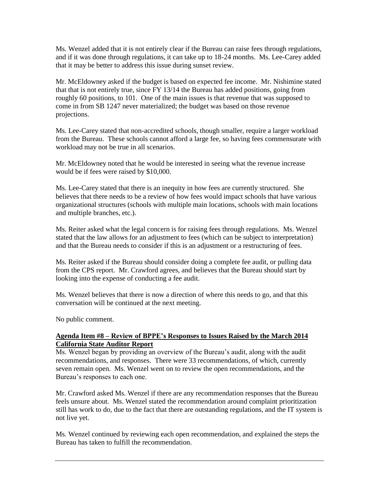Ms. Wenzel added that it is not entirely clear if the Bureau can raise fees through regulations, and if it was done through regulations, it can take up to 18-24 months. Ms. Lee-Carey added that it may be better to address this issue during sunset review.

Mr. McEldowney asked if the budget is based on expected fee income. Mr. Nishimine stated that that is not entirely true, since FY 13/14 the Bureau has added positions, going from roughly 60 positions, to 101. One of the main issues is that revenue that was supposed to come in from SB 1247 never materialized; the budget was based on those revenue projections.

Ms. Lee-Carey stated that non-accredited schools, though smaller, require a larger workload from the Bureau. These schools cannot afford a large fee, so having fees commensurate with workload may not be true in all scenarios.

Mr. McEldowney noted that he would be interested in seeing what the revenue increase would be if fees were raised by \$10,000.

Ms. Lee-Carey stated that there is an inequity in how fees are currently structured. She believes that there needs to be a review of how fees would impact schools that have various organizational structures (schools with multiple main locations, schools with main locations and multiple branches, etc.).

Ms. Reiter asked what the legal concern is for raising fees through regulations. Ms. Wenzel stated that the law allows for an adjustment to fees (which can be subject to interpretation) and that the Bureau needs to consider if this is an adjustment or a restructuring of fees.

Ms. Reiter asked if the Bureau should consider doing a complete fee audit, or pulling data from the CPS report. Mr. Crawford agrees, and believes that the Bureau should start by looking into the expense of conducting a fee audit.

Ms. Wenzel believes that there is now a direction of where this needs to go, and that this conversation will be continued at the next meeting.

No public comment.

## **Agenda Item #8 – Review of BPPE's Responses to Issues Raised by the March 2014 California State Auditor Report**

Ms. Wenzel began by providing an overview of the Bureau's audit, along with the audit recommendations, and responses. There were 33 recommendations, of which, currently seven remain open. Ms. Wenzel went on to review the open recommendations, and the Bureau's responses to each one.

Mr. Crawford asked Ms. Wenzel if there are any recommendation responses that the Bureau feels unsure about. Ms. Wenzel stated the recommendation around complaint prioritization still has work to do, due to the fact that there are outstanding regulations, and the IT system is not live yet.

Ms. Wenzel continued by reviewing each open recommendation, and explained the steps the Bureau has taken to fulfill the recommendation.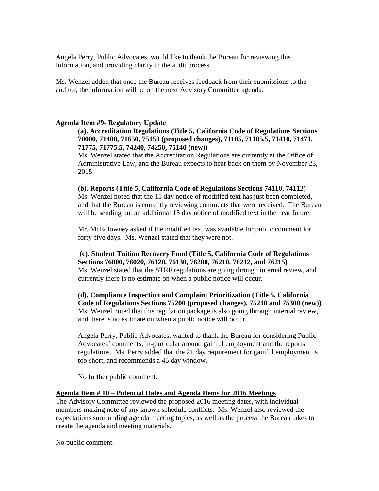Angela Perry, Public Advocates, would like to thank the Bureau for reviewing this information, and providing clarity to the audit process.

Ms. Wenzel added that once the Bureau receives feedback from their submissions to the auditor, the information will be on the next Advisory Committee agenda.

#### **Agenda Item #9- Regulatory Update**

## **(a). Accreditation Regulations (Title 5, California Code of Regulations Sections 70000, 71400, 71650, 75150 (proposed changes), 71105, 71105.5, 71410, 71471, 71775, 71775.5, 74240, 74250, 75140 (new))**

Ms. Wenzel stated that the Accreditation Regulations are currently at the Office of Administrative Law, and the Bureau expects to hear back on them by November 23, 2015.

### **(b). Reports (Title 5, California Code of Regulations Sections 74110, 74112)**

Ms. Wenzel noted that the 15 day notice of modified text has just been completed, and that the Bureau is currently reviewing comments that were received. The Bureau will be sending out an additional 15 day notice of modified text in the near future.

Mr. McEdlowney asked if the modified text was available for public comment for forty-five days. Ms. Wenzel stated that they were not.

**(c). Student Tuition Recovery Fund (Title 5, California Code of Regulations Sections 76000, 76020, 76120, 76130, 76200, 76210, 76212, and 76215)**  Ms. Wenzel stated that the STRF regulations are going through internal review, and currently there is no estimate on when a public notice will occur.

**(d). Compliance Inspection and Complaint Prioritization (Title 5, California Code of Regulations Sections 75200 (proposed changes), 75210 and 75300 (new))**  Ms. Wenzel noted that this regulation package is also going through internal review, and there is no estimate on when a public notice will occur.

Angela Perry, Public Advocates, wanted to thank the Bureau for considering Public Advocates' comments, in-particular around gainful employment and the reports regulations. Ms. Perry added that the 21 day requirement for gainful employment is too short, and recommends a 45 day window.

No further public comment.

### **Agenda Item # 10 – Potential Dates and Agenda Items for 2016 Meetings**

The Advisory Committee reviewed the proposed 2016 meeting dates, with individual members making note of any known schedule conflicts. Ms. Wenzel also reviewed the expectations surrounding agenda meeting topics, as well as the process the Bureau takes to create the agenda and meeting materials.

No public comment.